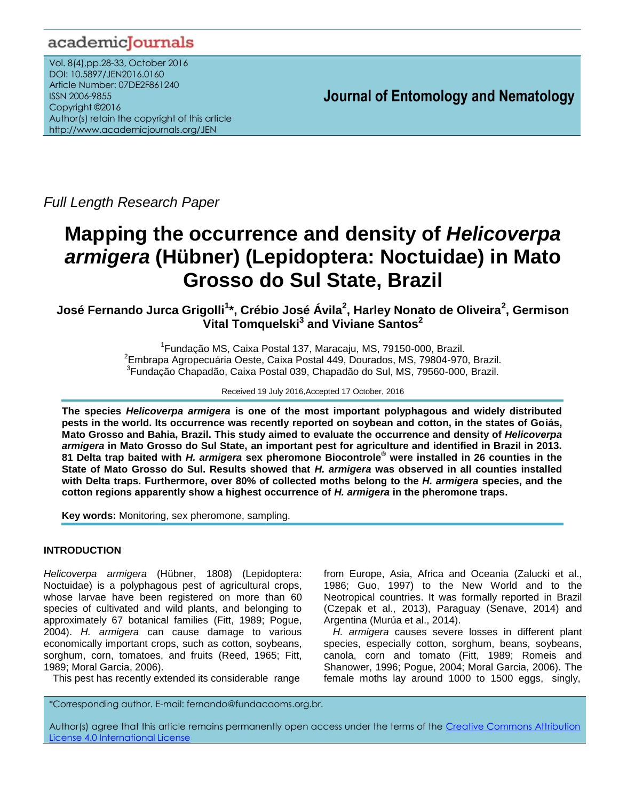# academicJournals

Vol. 8(4),pp.28-33, October 2016 DOI: 10.5897/JEN2016.0160 Article Number: 07DE2F861240 ISSN 2006-9855 Copyright ©2016 Author(s) retain the copyright of this article http://www.academicjournals.org/JEN

**Journal of Entomology and Nematology**

*Full Length Research Paper*

# **Mapping the occurrence and density of** *Helicoverpa armigera* **(Hübner) (Lepidoptera: Noctuidae) in Mato Grosso do Sul State, Brazil**

**José Fernando Jurca Grigolli<sup>1</sup> \*, Crébio José Ávila<sup>2</sup> , Harley Nonato de Oliveira<sup>2</sup> , Germison Vital Tomquelski<sup>3</sup> and Viviane Santos<sup>2</sup>**

> <sup>1</sup> Fundação MS, Caixa Postal 137, Maracaju, MS, 79150-000, Brazil. 2 Embrapa Agropecuária Oeste, Caixa Postal 449, Dourados, MS, 79804-970, Brazil. 3 Fundação Chapadão, Caixa Postal 039, Chapadão do Sul, MS, 79560-000, Brazil.

> > Received 19 July 2016,Accepted 17 October, 2016

**The species** *Helicoverpa armigera* **is one of the most important polyphagous and widely distributed pests in the world. Its occurrence was recently reported on soybean and cotton, in the states of Goiás, Mato Grosso and Bahia, Brazil. This study aimed to evaluate the occurrence and density of** *Helicoverpa armigera* **in Mato Grosso do Sul State, an important pest for agriculture and identified in Brazil in 2013. 81 Delta trap baited with** *H. armigera* **sex pheromone Biocontrole® were installed in 26 counties in the State of Mato Grosso do Sul. Results showed that** *H. armigera* **was observed in all counties installed with Delta traps. Furthermore, over 80% of collected moths belong to the** *H. armigera* **species, and the cotton regions apparently show a highest occurrence of** *H. armigera* **in the pheromone traps.**

**Key words:** Monitoring, sex pheromone, sampling.

### **INTRODUCTION**

*Helicoverpa armigera* (Hübner, 1808) (Lepidoptera: Noctuidae) is a polyphagous pest of agricultural crops, whose larvae have been registered on more than 60 species of cultivated and wild plants, and belonging to approximately 67 botanical families (Fitt, 1989; Pogue, 2004). *H. armigera* can cause damage to various economically important crops, such as cotton, soybeans, sorghum, corn, tomatoes, and fruits (Reed, 1965; Fitt, 1989; Moral Garcia, 2006).

This pest has recently extended its considerable range

from Europe, Asia, Africa and Oceania (Zalucki et al., 1986; Guo, 1997) to the New World and to the Neotropical countries. It was formally reported in Brazil (Czepak et al., 2013), Paraguay (Senave, 2014) and Argentina (Murúa et al., 2014).

*H. armigera* causes severe losses in different plant species, especially cotton, sorghum, beans, soybeans, canola, corn and tomato (Fitt, 1989; Romeis and Shanower, 1996; Pogue, 2004; Moral Garcia, 2006). The female moths lay around 1000 to 1500 eggs, singly,

<sup>\*</sup>Corresponding author. E-mail: fernando@fundacaoms.org.br.

Author(s) agree that this article remains permanently open access under the terms of the Creative Commons Attribution [License 4.0 International License](http://creativecommons.org/licenses/by/4.0/deed.en_US)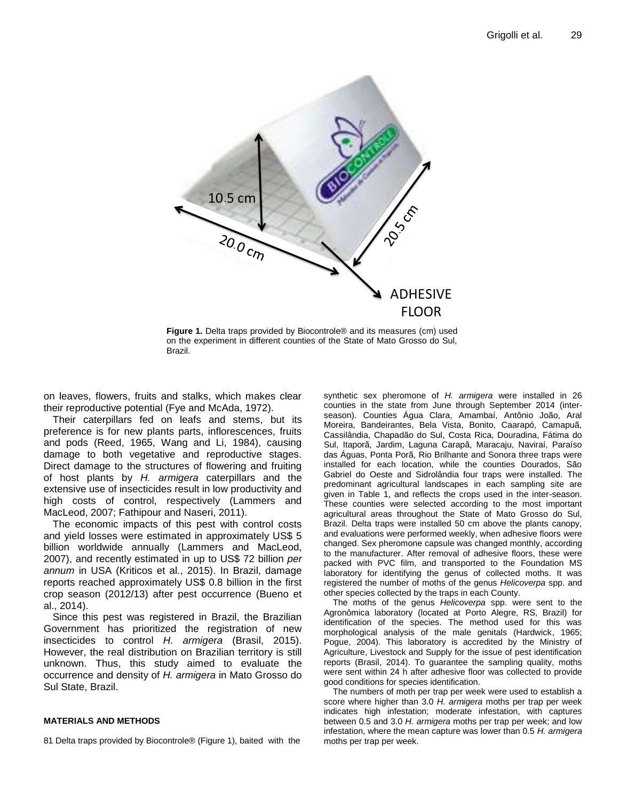

**Figure 1.** Delta traps provided by Biocontrole® and its measures (cm) used on the experiment in different counties of the State of Mato Grosso do Sul, Brazil.

on leaves, flowers, fruits and stalks, which makes clear their reproductive potential (Fye and McAda, 1972).

Their caterpillars fed on leafs and stems, but its preference is for new plants parts, inflorescences, fruits and pods (Reed, 1965, Wang and Li, 1984), causing damage to both vegetative and reproductive stages. Direct damage to the structures of flowering and fruiting of host plants by *H. armigera* caterpillars and the extensive use of insecticides result in low productivity and high costs of control, respectively (Lammers and MacLeod, 2007; Fathipour and Naseri, 2011).

The economic impacts of this pest with control costs and yield losses were estimated in approximately US\$ 5 billion worldwide annually (Lammers and MacLeod, 2007), and recently estimated in up to US\$ 72 billion *per annum* in USA (Kriticos et al., 2015). In Brazil, damage reports reached approximately US\$ 0.8 billion in the first crop season (2012/13) after pest occurrence (Bueno et al., 2014).

Since this pest was registered in Brazil, the Brazilian Government has prioritized the registration of new insecticides to control *H. armigera* (Brasil, 2015). However, the real distribution on Brazilian territory is still unknown. Thus, this study aimed to evaluate the occurrence and density of *H. armigera* in Mato Grosso do Sul State, Brazil.

#### **MATERIALS AND METHODS**

81 Delta traps provided by Biocontrole® (Figure 1), baited with the

synthetic sex pheromone of *H. armigera* were installed in 26 counties in the state from June through September 2014 (interseason). Counties Água Clara, Amambaí, Antônio João, Aral Moreira, Bandeirantes, Bela Vista, Bonito, Caarapó, Camapuã, Cassilândia, Chapadão do Sul, Costa Rica, Douradina, Fátima do Sul, Itaporã, Jardim, Laguna Carapã, Maracaju, Naviraí, Paraíso das Águas, Ponta Porã, Rio Brilhante and Sonora three traps were installed for each location, while the counties Dourados, São Gabriel do Oeste and Sidrolândia four traps were installed. The predominant agricultural landscapes in each sampling site are given in Table 1, and reflects the crops used in the inter-season. These counties were selected according to the most important agricultural areas throughout the State of Mato Grosso do Sul, Brazil. Delta traps were installed 50 cm above the plants canopy, and evaluations were performed weekly, when adhesive floors were changed. Sex pheromone capsule was changed monthly, according to the manufacturer. After removal of adhesive floors, these were packed with PVC film, and transported to the Foundation MS laboratory for identifying the genus of collected moths. It was registered the number of moths of the genus *Helicoverpa* spp. and other species collected by the traps in each County.

The moths of the genus *Helicoverpa* spp. were sent to the Agronômica laboratory (located at Porto Alegre, RS, Brazil) for identification of the species. The method used for this was morphological analysis of the male genitals (Hardwick, 1965; Pogue, 2004). This laboratory is accredited by the Ministry of Agriculture, Livestock and Supply for the issue of pest identification reports (Brasil, 2014). To guarantee the sampling quality, moths were sent within 24 h after adhesive floor was collected to provide good conditions for species identification.

The numbers of moth per trap per week were used to establish a score where higher than 3.0 *H. armigera* moths per trap per week indicates high infestation; moderate infestation, with captures between 0.5 and 3.0 *H. armigera* moths per trap per week; and low infestation, where the mean capture was lower than 0.5 *H. armigera*  moths per trap per week.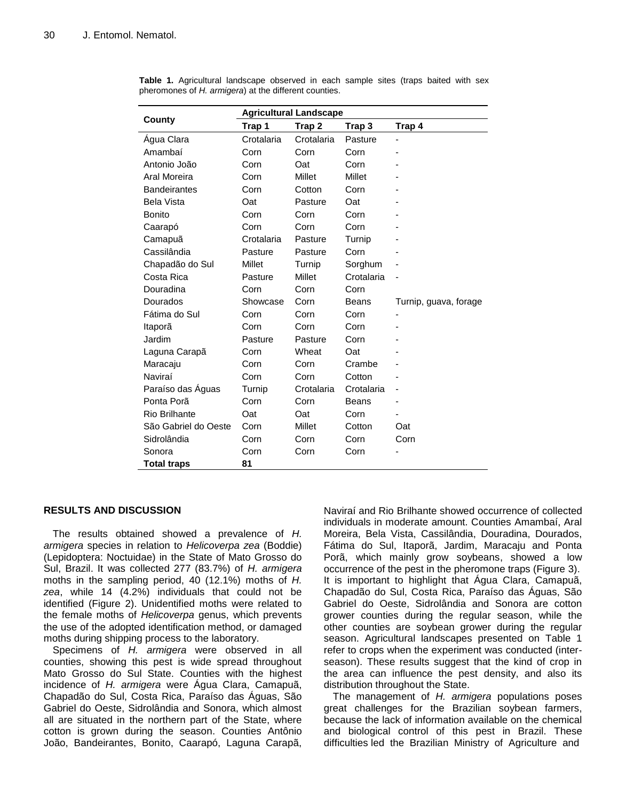|                      | <b>Agricultural Landscape</b> |               |              |                       |
|----------------------|-------------------------------|---------------|--------------|-----------------------|
| County               | Trap 1                        | Trap 2        | Trap 3       | Trap 4                |
| Agua Clara           | Crotalaria                    | Crotalaria    | Pasture      |                       |
| Amambaí              | Corn                          | Corn          | Corn         |                       |
| Antonio João         | Corn                          | Oat           | Corn         |                       |
| Aral Moreira         | Corn                          | <b>Millet</b> | Millet       |                       |
| <b>Bandeirantes</b>  | Corn                          | Cotton        | Corn         |                       |
| <b>Bela Vista</b>    | Oat                           | Pasture       | Oat          |                       |
| <b>Bonito</b>        | Corn                          | Corn          | Corn         |                       |
| Caarapó              | Corn                          | Corn          | Corn         |                       |
| Camapuã              | Crotalaria                    | Pasture       | Turnip       |                       |
| Cassilândia          | Pasture                       | Pasture       | Corn         |                       |
| Chapadão do Sul      | Millet                        | Turnip        | Sorghum      |                       |
| Costa Rica           | Pasture                       | Millet        | Crotalaria   |                       |
| Douradina            | Corn                          | Corn          | Corn         |                       |
| Dourados             | Showcase                      | Corn          | <b>Beans</b> | Turnip, guava, forage |
| Fátima do Sul        | Corn                          | Corn          | Corn         |                       |
| Itaporã              | Corn                          | Corn          | Corn         |                       |
| Jardim               | Pasture                       | Pasture       | Corn         |                       |
| Laguna Carapã        | Corn                          | Wheat         | Oat          |                       |
| Maracaju             | Corn                          | Corn          | Crambe       |                       |
| Naviraí              | Corn                          | Corn          | Cotton       |                       |
| Paraíso das Águas    | Turnip                        | Crotalaria    | Crotalaria   |                       |
| Ponta Porã           | Corn                          | Corn          | Beans        |                       |
| Rio Brilhante        | Oat                           | Oat           | Corn         |                       |
| São Gabriel do Oeste | Corn                          | Millet        | Cotton       | Oat                   |
| Sidrolândia          | Corn                          | Corn          | Corn         | Corn                  |
| Sonora               | Corn                          | Corn          | Corn         |                       |
| <b>Total traps</b>   | 81                            |               |              |                       |

**Table 1.** Agricultural landscape observed in each sample sites (traps baited with sex pheromones of *H. armigera*) at the different counties.

## **RESULTS AND DISCUSSION**

The results obtained showed a prevalence of *H. armigera* species in relation to *Helicoverpa zea* (Boddie) (Lepidoptera: Noctuidae) in the State of Mato Grosso do Sul, Brazil. It was collected 277 (83.7%) of *H. armigera*  moths in the sampling period, 40 (12.1%) moths of *H. zea*, while 14 (4.2%) individuals that could not be identified (Figure 2). Unidentified moths were related to the female moths of *Helicoverpa* genus, which prevents the use of the adopted identification method, or damaged moths during shipping process to the laboratory.

Specimens of *H. armigera* were observed in all counties, showing this pest is wide spread throughout Mato Grosso do Sul State. Counties with the highest incidence of *H. armigera* were Água Clara, Camapuã, Chapadão do Sul, Costa Rica, Paraíso das Águas, São Gabriel do Oeste, Sidrolândia and Sonora, which almost all are situated in the northern part of the State, where cotton is grown during the season. Counties Antônio João, Bandeirantes, Bonito, Caarapó, Laguna Carapã, Naviraí and Rio Brilhante showed occurrence of collected individuals in moderate amount. Counties Amambaí, Aral Moreira, Bela Vista, Cassilândia, Douradina, Dourados, Fátima do Sul, Itaporã, Jardim, Maracaju and Ponta Porã, which mainly grow soybeans, showed a low occurrence of the pest in the pheromone traps (Figure 3). It is important to highlight that Água Clara, Camapuã, Chapadão do Sul, Costa Rica, Paraíso das Águas, São Gabriel do Oeste, Sidrolândia and Sonora are cotton grower counties during the regular season, while the other counties are soybean grower during the regular season. Agricultural landscapes presented on Table 1 refer to crops when the experiment was conducted (interseason). These results suggest that the kind of crop in the area can influence the pest density, and also its distribution throughout the State.

The management of *H. armigera* populations poses great challenges for the Brazilian soybean farmers, because the lack of information available on the chemical and biological control of this pest in Brazil. These difficulties led the Brazilian Ministry of Agriculture and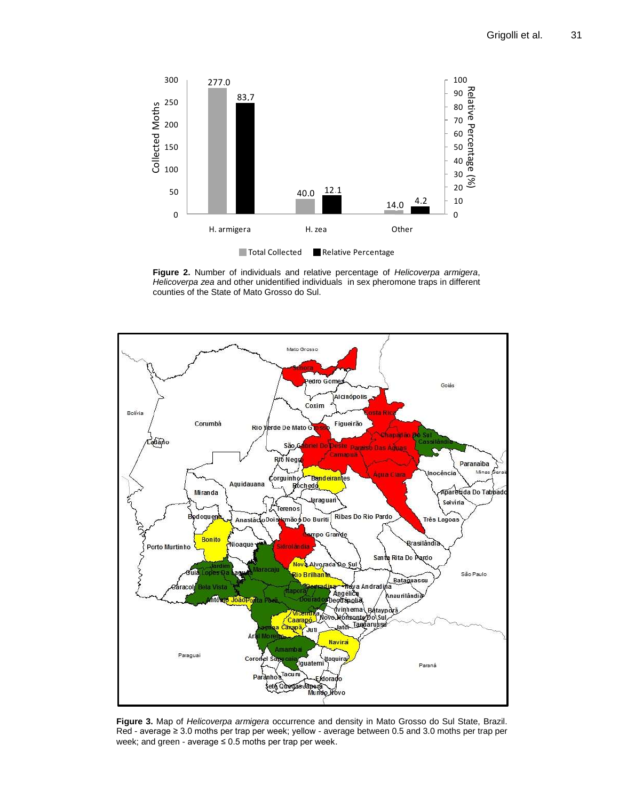

**Figure 2.** Number of individuals and relative percentage of *Helicoverpa armigera*, *Helicoverpa zea* and other unidentified individuals in sex pheromone traps in different counties of the State of Mato Grosso do Sul.



**Figure 3.** Map of *Helicoverpa armigera* occurrence and density in Mato Grosso do Sul State, Brazil. Red - average ≥ 3.0 moths per trap per week; yellow - average between 0.5 and 3.0 moths per trap per week; and green - average  $\leq 0.5$  moths per trap per week.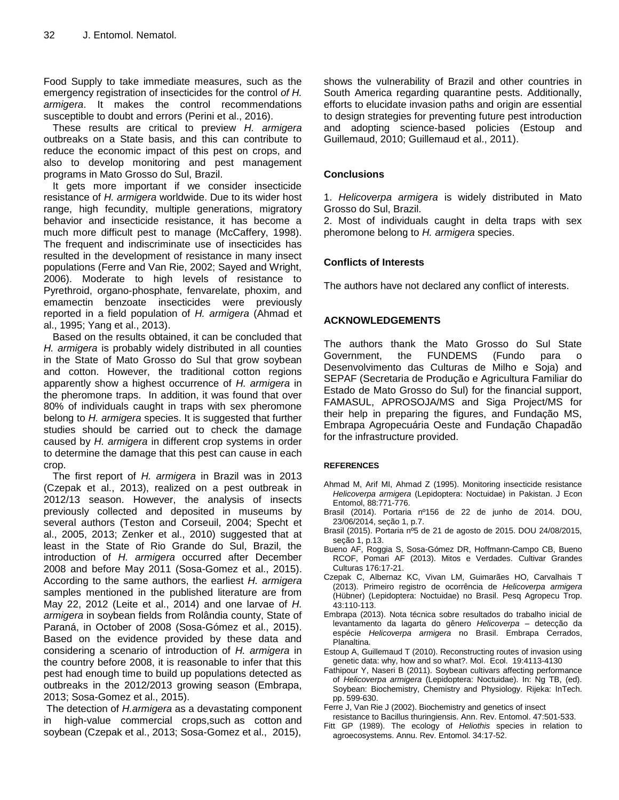Food Supply to take immediate measures, such as the emergency registration of insecticides for the control *of H. armigera*. It makes the control recommendations susceptible to doubt and errors (Perini et al., 2016).

These results are critical to preview *H. armigera*  outbreaks on a State basis, and this can contribute to reduce the economic impact of this pest on crops, and also to develop monitoring and pest management programs in Mato Grosso do Sul, Brazil.

It gets more important if we consider insecticide resistance of *H. armigera* worldwide. Due to its wider host range, high fecundity, multiple generations, migratory behavior and insecticide resistance, it has become a much more difficult pest to manage (McCaffery, 1998). The frequent and indiscriminate use of insecticides has resulted in the development of resistance in many insect populations (Ferre and Van Rie, 2002; Sayed and Wright, 2006). Moderate to high levels of resistance to Pyrethroid, organo-phosphate, fenvarelate, phoxim, and emamectin benzoate insecticides were previously reported in a field population of *H. armigera* (Ahmad et al., 1995; Yang et al., 2013).

Based on the results obtained, it can be concluded that *H. armigera* is probably widely distributed in all counties in the State of Mato Grosso do Sul that grow soybean and cotton. However, the traditional cotton regions apparently show a highest occurrence of *H. armigera* in the pheromone traps. In addition, it was found that over 80% of individuals caught in traps with sex pheromone belong to *H. armigera* species. It is suggested that further studies should be carried out to check the damage caused by *H. armigera* in different crop systems in order to determine the damage that this pest can cause in each crop.

The first report of *H. armigera* in Brazil was in 2013 (Czepak et al., 2013), realized on a pest outbreak in 2012/13 season. However, the analysis of insects previously collected and deposited in museums by several authors (Teston and Corseuil, 2004; Specht et al., 2005, 2013; Zenker et al., 2010) suggested that at least in the State of Rio Grande do Sul, Brazil, the introduction of *H. armigera* occurred after December 2008 and before May 2011 (Sosa-Gomez et al., 2015). According to the same authors, the earliest *H. armigera* samples mentioned in the published literature are from May 22, 2012 (Leite et al., 2014) and one larvae of *H. armigera* in soybean fields from Rolândia county, State of Paraná, in October of 2008 (Sosa-Gómez et al., 2015). Based on the evidence provided by these data and considering a scenario of introduction of *H. armigera* in the country before 2008, it is reasonable to infer that this pest had enough time to build up populations detected as outbreaks in the 2012/2013 growing season (Embrapa, 2013; Sosa-Gomez et al., 2015).

The detection of *H.armigera* as a devastating component in high-value commercial crops,such as cotton and soybean (Czepak et al., 2013; Sosa-Gomez et al., 2015),

shows the vulnerability of Brazil and other countries in South America regarding quarantine pests. Additionally, efforts to elucidate invasion paths and origin are essential to design strategies for preventing future pest introduction and adopting science-based policies (Estoup and Guillemaud, 2010; Guillemaud et al., 2011).

#### **Conclusions**

1. *Helicoverpa armigera* is widely distributed in Mato Grosso do Sul, Brazil.

2. Most of individuals caught in delta traps with sex pheromone belong to *H. armigera* species.

#### **Conflicts of Interests**

The authors have not declared any conflict of interests.

#### **ACKNOWLEDGEMENTS**

The authors thank the Mato Grosso do Sul State Government, the FUNDEMS (Fundo para o Desenvolvimento das Culturas de Milho e Soja) and SEPAF (Secretaria de Produção e Agricultura Familiar do Estado de Mato Grosso do Sul) for the financial support, FAMASUL, APROSOJA/MS and Siga Project/MS for their help in preparing the figures, and Fundação MS, Embrapa Agropecuária Oeste and Fundação Chapadão for the infrastructure provided.

#### **REFERENCES**

- Ahmad M, Arif MI, Ahmad Z (1995). Monitoring insecticide resistance *Helicoverpa armigera* (Lepidoptera: Noctuidae) in Pakistan. J Econ Entomol, 88:771-776.
- Brasil (2014). Portaria nº156 de 22 de junho de 2014. DOU, 23/06/2014, seção 1, p.7.
- Brasil (2015). Portaria nº5 de 21 de agosto de 2015. DOU 24/08/2015, seção 1, p.13.
- Bueno AF, Roggia S, Sosa-Gómez DR, Hoffmann-Campo CB, Bueno RCOF, Pomari AF (2013). Mitos e Verdades. Cultivar Grandes Culturas 176:17-21.
- Czepak C, Albernaz KC, Vivan LM, Guimarães HO, Carvalhais T (2013). Primeiro registro de ocorrência de *Helicoverpa armigera*  (Hübner) (Lepidoptera: Noctuidae) no Brasil. Pesq Agropecu Trop. 43:110-113.
- Embrapa (2013). Nota técnica sobre resultados do trabalho inicial de levantamento da lagarta do gênero *Helicoverpa* – detecção da espécie *Helicoverpa armigera* no Brasil. Embrapa Cerrados, Planaltina.
- Estoup A, Guillemaud T (2010). Reconstructing routes of invasion using genetic data: why, how and so what?. Mol. Ecol. 19:4113-4130
- Fathipour Y, Naseri B (2011). Soybean cultivars affecting performance of *Helicoverpa armigera* (Lepidoptera: Noctuidae). In: Ng TB, (ed). Soybean: Biochemistry, Chemistry and Physiology. Rijeka: InTech. pp. 599-630.
- Ferre J, Van Rie J (2002). Biochemistry and genetics of insect
- resistance to Bacillus thuringiensis. Ann. Rev. Entomol. 47:501-533. Fitt GP (1989). The ecology of *Heliothis* species in relation to agroecosystems. Annu. Rev. Entomol. 34:17-52.